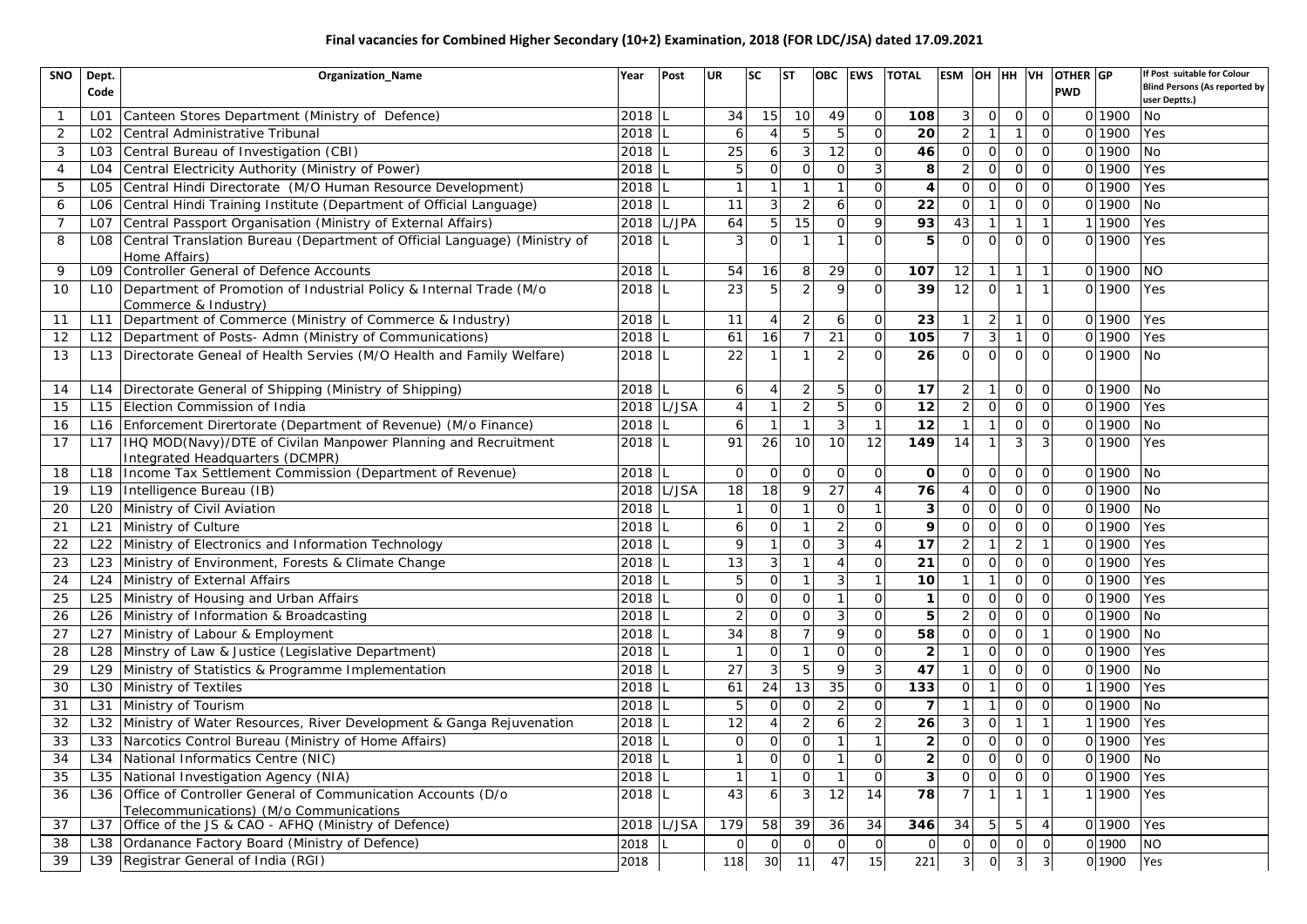## **Final vacancies for Combined Higher Secondary (10+2) Examination, 2018 (FOR LDC/JSA) dated 17.09.2021**

| SNO            | Dept.<br>Code    | <b>Organization Name</b>                                                                               | Year | Post         | <b>UR</b>      | <b>SC</b><br><b>ST</b> |                 |                            |                | <b>OBC</b>      | <b>EWS</b>              | <b>TOTAL</b>   | ESM OH HH VH   |                |  |        | OTHER GP<br><b>PWD</b> |  | If Post suitable for Colour<br><b>Blind Persons (As reported by</b><br>user Deptts.) |
|----------------|------------------|--------------------------------------------------------------------------------------------------------|------|--------------|----------------|------------------------|-----------------|----------------------------|----------------|-----------------|-------------------------|----------------|----------------|----------------|--|--------|------------------------|--|--------------------------------------------------------------------------------------|
| $\mathbf{1}$   | L <sub>0</sub> 1 | Canteen Stores Department (Ministry of Defence)                                                        | 2018 |              | 34             | 15                     | 10              | 49                         | $\mathbf 0$    | 108             | 3                       | $\mathbf{O}$   | $\overline{0}$ | $\Omega$       |  | 0 1900 | No                     |  |                                                                                      |
| 2              | L <sub>02</sub>  | Central Administrative Tribunal                                                                        | 2018 |              | 6              |                        | 5               | 5<br>$\Omega$              |                | 20              | $\overline{2}$          |                |                | $\Omega$       |  | 0 1900 | Yes                    |  |                                                                                      |
| 3              | L <sub>03</sub>  | Central Bureau of Investigation (CBI)                                                                  | 2018 |              | 25             | 6                      | 3               | 12                         | $\Omega$       | 46              | $\overline{O}$          | $\Omega$       | $\mathbf{O}$   | $\Omega$       |  | 0 1900 | No                     |  |                                                                                      |
| $\overline{4}$ | L <sub>04</sub>  | Central Electricity Authority (Ministry of Power)                                                      | 2018 |              | 5              | $\Omega$               |                 | $\mathbf 0$<br>$\mathbf 0$ | 3              | 8               | $\overline{2}$          | $\Omega$       | $\Omega$       | $\Omega$       |  | 0 1900 | Yes                    |  |                                                                                      |
| 5              | L05              | Central Hindi Directorate (M/O Human Resource Development)                                             | 2018 |              | $\mathbf{1}$   |                        | $\mathbf{1}$    | $\mathbf{1}$               | $\Omega$       | $\overline{4}$  | $\circ$                 | $\mathbf 0$    | $\mathbf{O}$   | $\overline{O}$ |  | 0 1900 | Yes                    |  |                                                                                      |
| 6              | L06              | Central Hindi Training Institute (Department of Official Language)                                     | 2018 |              | 11             | 3                      |                 | 6                          |                | 22              | $\overline{O}$          |                | $\overline{O}$ | $\overline{O}$ |  | 0 1900 | No                     |  |                                                                                      |
| 7              | L <sub>0</sub> 7 | Central Passport Organisation (Ministry of External Affairs)                                           |      | $2018$ L/JPA | 64             | 5                      | $\overline{15}$ | $\mathbf 0$                | 9              | 93              | 43                      | $\mathbf 1$    | $\mathbf{1}$   | $\mathbf 1$    |  | 1 1900 | Yes                    |  |                                                                                      |
| 8              | L <sub>08</sub>  | Central Translation Bureau (Department of Official Language) (Ministry of<br>Home Affairs)             | 2018 |              | 3              | $\circ$                |                 |                            | $\Omega$       | 5               | $\Omega$                | $\Omega$       | $\Omega$       | $\Omega$       |  | 0 1900 | Yes                    |  |                                                                                      |
| 9              | L <sub>09</sub>  | Controller General of Defence Accounts                                                                 | 2018 |              | 54             | 16                     | 8               | 29                         | $\Omega$       | 107             | 12                      | $\mathbf{1}$   | $\mathbf{1}$   | $\mathbf{1}$   |  | 0 1900 | <b>NO</b>              |  |                                                                                      |
| 10             | L <sub>10</sub>  | Department of Promotion of Industrial Policy & Internal Trade (M/o<br>Commerce & Industry)             | 2018 |              | 23             | 5<br>$\overline{2}$    |                 | $\mathsf{Q}$               |                | 39              | 12                      | $\Omega$       |                |                |  | 0 1900 | Yes                    |  |                                                                                      |
| 11             | L11              | Department of Commerce (Ministry of Commerce & Industry)                                               | 2018 |              | 11             | $\overline{4}$         | $\overline{2}$  | 6                          | 0              | 23              |                         | $\overline{2}$ |                | $\mathbf 0$    |  | 0 1900 | Yes                    |  |                                                                                      |
| 12             | L <sub>12</sub>  | Department of Posts- Admn (Ministry of Communications)                                                 | 2018 |              | 61             | 16                     | $\overline{7}$  | 21                         | $\Omega$       | 105             | $\overline{7}$          | 3              | $\overline{1}$ | $\Omega$       |  | 0 1900 | Yes                    |  |                                                                                      |
| 13             | L <sub>13</sub>  | Directorate Geneal of Health Servies (M/O Health and Family Welfare)                                   | 2018 |              | 22             |                        |                 |                            | $\Omega$       | 26              | $\overline{O}$          | $\overline{O}$ | $\Omega$       | $\Omega$       |  | 0 1900 | <b>No</b>              |  |                                                                                      |
| 14             | L14              | Directorate General of Shipping (Ministry of Shipping)                                                 | 2018 |              | 6              | 4                      | $\overline{2}$  | 5                          | $\Omega$       | 17              | $\overline{2}$          |                | $\mathbf 0$    | $\mathbf 0$    |  | 0 1900 | No                     |  |                                                                                      |
| 15             | L <sub>15</sub>  | Election Commission of India                                                                           |      | 2018 L/JSA   | $\overline{4}$ | $\mathbf{1}$           | $\overline{2}$  | 5                          | $\overline{O}$ | 12              | $\overline{2}$          | $\Omega$       | $\overline{0}$ | $\overline{O}$ |  | 0 1900 | Yes                    |  |                                                                                      |
| 16             | L <sub>16</sub>  | Enforcement Dirertorate (Department of Revenue) (M/o Finance)                                          | 2018 |              | 6              |                        | $\mathbf 1$     | 3                          |                | 12              |                         |                | $\mathbf 0$    | $\overline{O}$ |  | 0 1900 | No                     |  |                                                                                      |
| 17             | L17              | IHQ MOD(Navy)/DTE of Civilan Manpower Planning and Recruitment<br>Integrated Headquarters (DCMPR)      | 2018 |              | 91             | 26                     | 10              | 10                         | 12             | 149             | 14                      |                | 3              | 3              |  | 0 1900 | Yes                    |  |                                                                                      |
| 18             | L <sub>18</sub>  | Income Tax Settlement Commission (Department of Revenue)                                               | 2018 |              | $\mathbf 0$    | $\Omega$               | $\Omega$        | $\mathbf 0$                | $\Omega$       | $\Omega$        | $\mathbf{O}$            | $\overline{O}$ | $\Omega$       | $\Omega$       |  | 0 1900 | <b>No</b>              |  |                                                                                      |
| 19             | L <sub>19</sub>  | Intelligence Bureau (IB)                                                                               |      | 2018 L/JSA   | 18             | 18                     | 9               | 27                         | $\Delta$       | 76              | $\overline{4}$          | $\overline{O}$ | $\mathbf 0$    | $\overline{O}$ |  | 0 1900 | <b>No</b>              |  |                                                                                      |
| 20             | L <sub>20</sub>  | Ministry of Civil Aviation                                                                             | 2018 |              | $\mathbf 1$    | $\circ$                | $\mathbf{1}$    | $\circ$                    |                | 3               | $\overline{O}$          | $\mathbf 0$    | $\overline{O}$ | $\overline{O}$ |  | 0 1900 | No                     |  |                                                                                      |
| 21             | L21              | Ministry of Culture                                                                                    | 2018 |              | 6              | $\Omega$               | $\mathbf{1}$    | $\overline{2}$             | $\Omega$       | 9               | $\mathbf{O}$            | $\Omega$       | $\Omega$       | $\Omega$       |  | 0 1900 | Yes                    |  |                                                                                      |
| 22             | L22              | Ministry of Electronics and Information Technology                                                     | 2018 |              | $\mathsf{Q}$   |                        | $\Omega$        | 3                          | $\Delta$       | 17              | $\overline{2}$          |                | $\overline{2}$ |                |  | 0 1900 | Yes                    |  |                                                                                      |
| 23             | L23              | Ministry of Environment, Forests & Climate Change                                                      | 2018 |              | 13             | 3                      | $\overline{1}$  | $\overline{4}$             | $\overline{O}$ | $\overline{21}$ | $\circ$                 | $\mathbf 0$    | $\mathbf 0$    | $\overline{O}$ |  | 0 1900 | Yes                    |  |                                                                                      |
| 24             | L24              | Ministry of External Affairs                                                                           | 2018 |              | 5              | $\Omega$               | $\mathbf{1}$    | 3                          |                | 10              | $\mathbf{1}$            | $\mathbf{1}$   | $\Omega$       | $\Omega$       |  | 0 1900 | Yes                    |  |                                                                                      |
| 25             | L25              | Ministry of Housing and Urban Affairs                                                                  | 2018 |              | $\Omega$       | $\Omega$               | $\mathbf 0$     |                            | $\Omega$       |                 | $\overline{O}$          | $\Omega$       | $\mathbf 0$    | $\Omega$       |  | 0 1900 | Yes                    |  |                                                                                      |
| 26             | L26              | Ministry of Information & Broadcasting                                                                 | 2018 |              | $\overline{2}$ | $\Omega$               | $\Omega$        | 3                          | $\Omega$       | 5               | $\overline{2}$          | $\Omega$       | $\Omega$       | $\Omega$       |  | 0 1900 | No                     |  |                                                                                      |
| 27             | L27              | Ministry of Labour & Employment                                                                        | 2018 |              | 34             | 8                      | $\overline{7}$  | $\mathsf{Q}$               | $\Omega$       | 58              | $\Omega$                | $\Omega$       | $\Omega$       | $\mathbf{1}$   |  | 0 1900 | No                     |  |                                                                                      |
| 28             | L28              | Minstry of Law & Justice (Legislative Department)                                                      | 2018 |              | $\mathbf{1}$   | $\Omega$               | $\mathbf{1}$    | $\Omega$                   | $\mathbf{O}$   | $\overline{2}$  |                         | $\Omega$       | $\mathbf{O}$   | $\mathbf{O}$   |  | 0 1900 | Yes                    |  |                                                                                      |
| 29             | L29              | Ministry of Statistics & Programme Implementation                                                      | 2018 |              | 27             | 3                      | 5               | $\mathsf{Q}$               |                | 47              |                         | $\Omega$       | $\Omega$       | $\Omega$       |  | 0 1900 | No                     |  |                                                                                      |
| 30             | L30              | Ministry of Textiles                                                                                   | 2018 |              | 61             | 24                     | 13              | 35                         | $\Omega$       | 133             | $\overline{O}$          | $\mathbf{1}$   | $\Omega$       | $\Omega$       |  | 1 1900 | Yes                    |  |                                                                                      |
| 31             | L31              | Ministry of Tourism                                                                                    | 2018 |              | 5              | $\Omega$               | $\Omega$        | $\overline{2}$             | $\Omega$       | $\overline{ }$  | $\mathbf{1}$            | $\mathbf 1$    | $\Omega$       | $\Omega$       |  | 0 1900 | No                     |  |                                                                                      |
| 32             | L32              | Ministry of Water Resources, River Development & Ganga Rejuvenation                                    | 2018 |              | 12             | $\overline{A}$         | $\mathcal{P}$   | $\overline{6}$             |                | 26              | 3                       | $\Omega$       |                |                |  | 1900   | Yes                    |  |                                                                                      |
| 33             | L33              | Narcotics Control Bureau (Ministry of Home Affairs)                                                    | 2018 |              | $\mathbf 0$    | $\circ$                | $\overline{O}$  | $\mathbf{1}$               |                | $\overline{2}$  | $\overline{O}$          | $\Omega$       | $\overline{O}$ | $\overline{O}$ |  | 0 1900 | Yes                    |  |                                                                                      |
| 34             | L34              | National Informatics Centre (NIC)                                                                      | 2018 |              | $\mathbf{1}$   | $\Omega$               | $\Omega$        | $\mathbf{1}$               | $\Omega$       | 2               | $\mathbf{O}$            | $\mathbf 0$    | $\Omega$       | $\Omega$       |  | 0 1900 | No                     |  |                                                                                      |
| 35             | L35              | National Investigation Agency (NIA)                                                                    | 2018 |              | $\overline{1}$ |                        | $\mathbf 0$     | $\mathbf{1}$               | $\Omega$       | $\sqrt{3}$      | $\circ$                 | $\Omega$       | $\mathbf 0$    | $\Omega$       |  | 0 1900 | Yes                    |  |                                                                                      |
| 36             | L36              | Office of Controller General of Communication Accounts (D/o<br>Telecommunications) (M/o Communications | 2018 |              | 43             | 6                      | 3               | 12                         | 14             | 78              | $\overline{7}$          | $\mathbf{1}$   | $\overline{1}$ |                |  | 1900   | Yes                    |  |                                                                                      |
| 37             | L37              | Office of the JS & CAO - AFHQ (Ministry of Defence)                                                    |      | 2018 L/JSA   | 179            | 58                     | 39              | 36                         | 34             | 346             | 34                      | 5              | 5              |                |  | 0 1900 | Yes                    |  |                                                                                      |
| 38             | L38              | Ordanance Factory Board (Ministry of Defence)                                                          | 2018 |              | $\Omega$       | $\Omega$               | $\Omega$        | $\Omega$                   | $\Omega$       | $\Omega$        | $\overline{0}$          | $\Omega$       | $\Omega$       | $\overline{0}$ |  | 0 1900 | <b>NO</b>              |  |                                                                                      |
| 39             | L39              | Registrar General of India (RGI)                                                                       | 2018 |              | 118            | 30                     | 11              | 47                         | 15             | 221             | $\overline{\mathbf{3}}$ | $\mathbf 0$    | 3              | 3              |  | 0 1900 | Yes                    |  |                                                                                      |